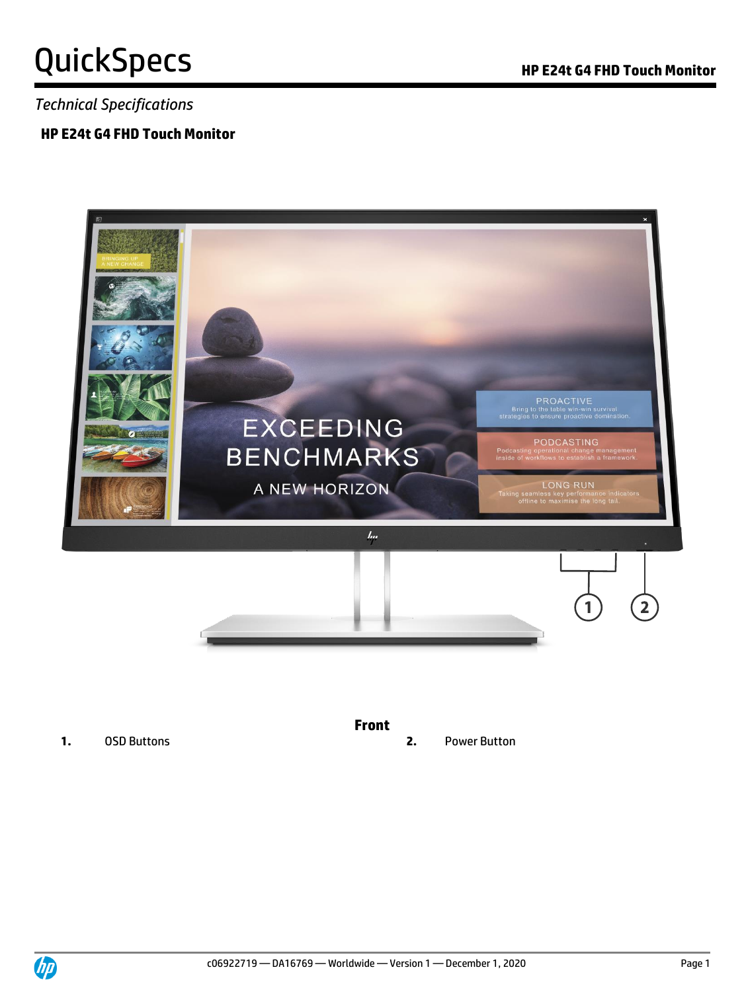*Technical Specifications*

#### **HP E24t G4 FHD Touch Monitor**



**1.** OSD Buttons **2.** Power Button

**Front**

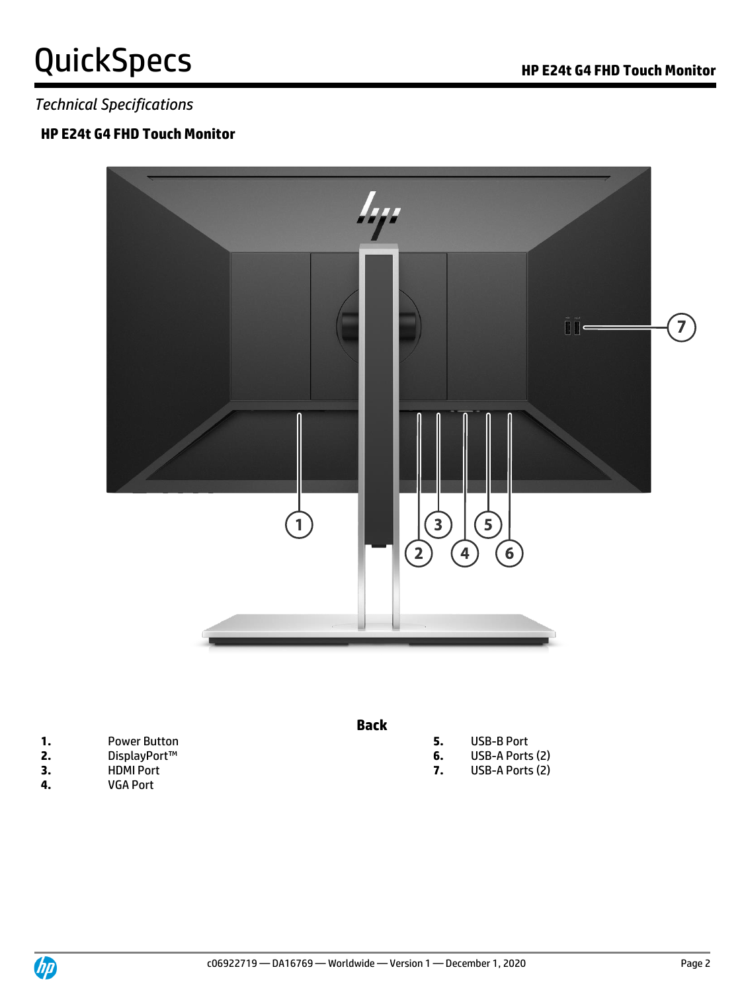### *Technical Specifications*

### **HP E24t G4 FHD Touch Monitor**



|    | <b>Power Button</b> | <b>USB-B Port</b> |
|----|---------------------|-------------------|
| 2. | DisplayPort™        | USB-A Ports (2)   |
| 3. | <b>HDMI Port</b>    | USB-A Ports (2)   |
| 4. | <b>VGA Port</b>     |                   |

**4.** VGA Port

- **Back**
- **5.** USB-B Port
- **6.** USB-A Ports (2)
- 

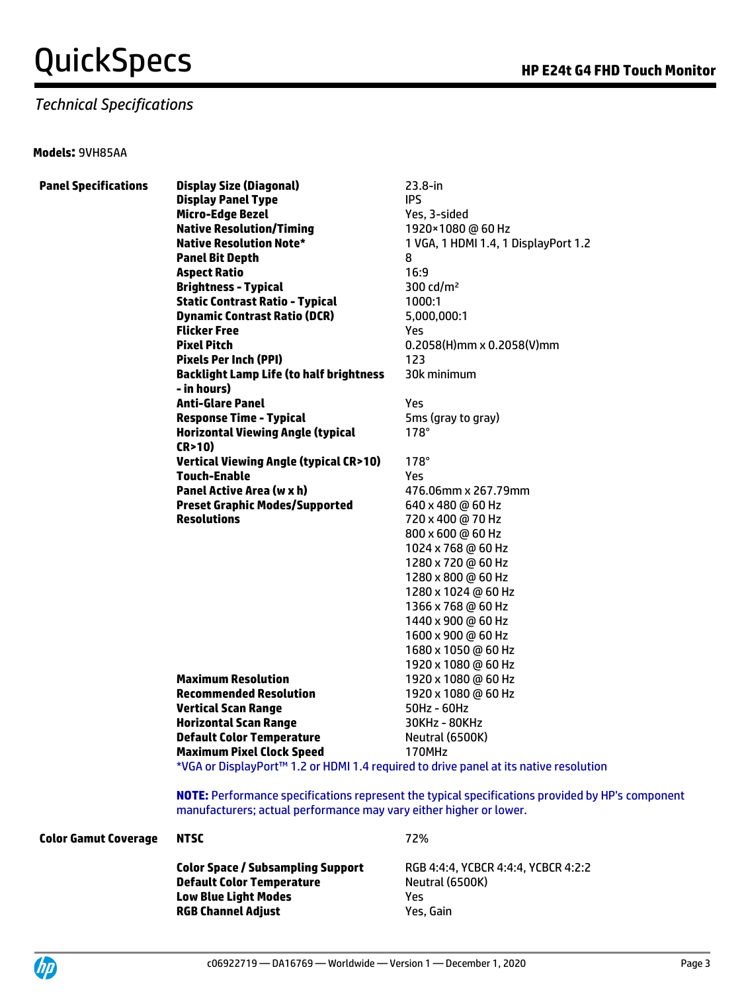#### *Technical Specifications*

#### **Models:** 9VH85AA

| <b>Panel Specifications</b> | <b>Display Size (Diagonal)</b>                                                                    | $23.8 - in$                          |
|-----------------------------|---------------------------------------------------------------------------------------------------|--------------------------------------|
|                             | <b>Display Panel Type</b>                                                                         | <b>IPS</b>                           |
|                             | <b>Micro-Edge Bezel</b>                                                                           | Yes, 3-sided                         |
|                             | <b>Native Resolution/Timing</b>                                                                   | 1920×1080 @ 60 Hz                    |
|                             | <b>Native Resolution Note*</b>                                                                    | 1 VGA, 1 HDMI 1.4, 1 DisplayPort 1.2 |
|                             | <b>Panel Bit Depth</b>                                                                            | 8                                    |
|                             | <b>Aspect Ratio</b>                                                                               | 16:9                                 |
|                             | <b>Brightness - Typical</b>                                                                       | 300 cd/m <sup>2</sup>                |
|                             | <b>Static Contrast Ratio - Typical</b>                                                            | 1000:1                               |
|                             | <b>Dynamic Contrast Ratio (DCR)</b>                                                               | 5,000,000:1                          |
|                             | <b>Flicker Free</b>                                                                               | Yes.                                 |
|                             | <b>Pixel Pitch</b>                                                                                | $0.2058(H)$ mm x 0.2058(V)mm         |
|                             | <b>Pixels Per Inch (PPI)</b>                                                                      | 123                                  |
|                             | <b>Backlight Lamp Life (to half brightness</b><br>- in hours)                                     | 30k minimum                          |
|                             | <b>Anti-Glare Panel</b>                                                                           | Yes                                  |
|                             | <b>Response Time - Typical</b>                                                                    | 5ms (gray to gray)                   |
|                             | <b>Horizontal Viewing Angle (typical</b><br>CR>10)                                                | $178^\circ$                          |
|                             | <b>Vertical Viewing Angle (typical CR&gt;10)</b>                                                  | $178^\circ$                          |
|                             | <b>Touch-Enable</b>                                                                               | Yes.                                 |
|                             | <b>Panel Active Area (w x h)</b>                                                                  | 476.06mm x 267.79mm                  |
|                             | <b>Preset Graphic Modes/Supported</b>                                                             | 640 x 480 @ 60 Hz                    |
|                             | <b>Resolutions</b>                                                                                | 720 x 400 @ 70 Hz                    |
|                             |                                                                                                   | 800 x 600 @ 60 Hz                    |
|                             |                                                                                                   | 1024 x 768 @ 60 Hz                   |
|                             |                                                                                                   | 1280 x 720 @ 60 Hz                   |
|                             |                                                                                                   | 1280 x 800 @ 60 Hz                   |
|                             |                                                                                                   | 1280 x 1024 @ 60 Hz                  |
|                             |                                                                                                   | 1366 x 768 @ 60 Hz                   |
|                             |                                                                                                   | 1440 x 900 @ 60 Hz                   |
|                             |                                                                                                   | 1600 x 900 @ 60 Hz                   |
|                             |                                                                                                   | 1680 x 1050 @ 60 Hz                  |
|                             |                                                                                                   | 1920 x 1080 @ 60 Hz                  |
|                             | <b>Maximum Resolution</b>                                                                         | 1920 x 1080 @ 60 Hz                  |
|                             | <b>Recommended Resolution</b>                                                                     | 1920 x 1080 @ 60 Hz                  |
|                             | <b>Vertical Scan Range</b>                                                                        | 50Hz - 60Hz                          |
|                             | <b>Horizontal Scan Range</b>                                                                      | 30KHz - 80KHz                        |
|                             | <b>Default Color Temperature</b>                                                                  | Neutral (6500K)                      |
|                             | <b>Maximum Pixel Clock Speed</b>                                                                  | 170MHz                               |
|                             | *VGA or DisplayPort <sup>™</sup> 1.2 or HDMI 1.4 required to drive panel at its native resolution |                                      |
|                             | NOTE: Performance specifications represent the typical specifications provided by H               |                                      |
|                             |                                                                                                   |                                      |

**P's component** manufacturers; actual performance may vary either higher or lower.

#### **Color Gamut Coverage NTSC 72%**

**Color Space / Subsampling Support** RGB 4:4:4, YCBCR 4:4:4, YCBCR 4:2:2 **Default Color Temperature** Neutral (6500K) **Low Blue Light Modes** Yes **RGB Channel Adjust Yes, Gain** 

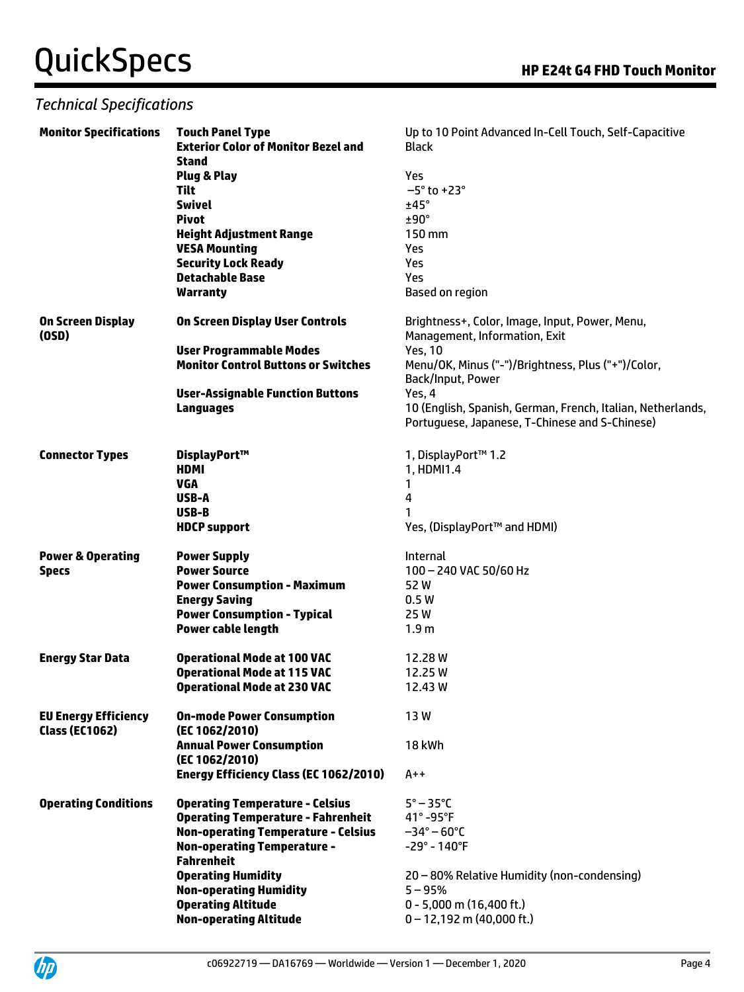### *Technical Specifications*

| <b>Monitor Specifications</b> | <b>Touch Panel Type</b>                                  | Up to 10 Point Advanced In-Cell Touch, Self-Capacitive                          |
|-------------------------------|----------------------------------------------------------|---------------------------------------------------------------------------------|
|                               | <b>Exterior Color of Monitor Bezel and</b>               | <b>Black</b>                                                                    |
|                               | <b>Stand</b>                                             |                                                                                 |
|                               | <b>Plug &amp; Play</b>                                   | Yes                                                                             |
|                               | <b>Tilt</b>                                              | $-5^\circ$ to +23 $^\circ$                                                      |
|                               | <b>Swivel</b>                                            | ±45°                                                                            |
|                               | <b>Pivot</b>                                             | $±90^\circ$                                                                     |
|                               | <b>Height Adjustment Range</b>                           | 150 mm                                                                          |
|                               | <b>VESA Mounting</b>                                     | Yes                                                                             |
|                               | <b>Security Lock Ready</b>                               | Yes                                                                             |
|                               | <b>Detachable Base</b>                                   | Yes                                                                             |
|                               | <b>Warranty</b>                                          | <b>Based on region</b>                                                          |
| On Screen Display<br>(OSD)    | <b>On Screen Display User Controls</b>                   | Brightness+, Color, Image, Input, Power, Menu,<br>Management, Information, Exit |
|                               | <b>User Programmable Modes</b>                           | <b>Yes, 10</b>                                                                  |
|                               | <b>Monitor Control Buttons or Switches</b>               | Menu/OK, Minus ("-")/Brightness, Plus ("+")/Color,                              |
|                               | <b>User-Assignable Function Buttons</b>                  | Back/Input, Power<br>Yes, 4                                                     |
|                               | <b>Languages</b>                                         | 10 (English, Spanish, German, French, Italian, Netherlands,                     |
|                               |                                                          | Portuguese, Japanese, T-Chinese and S-Chinese)                                  |
|                               |                                                          |                                                                                 |
| <b>Connector Types</b>        | DisplayPort™                                             | 1, DisplayPort™ 1.2                                                             |
|                               | HDMI                                                     | 1, HDMI1.4                                                                      |
|                               | <b>VGA</b>                                               | 1                                                                               |
|                               | USB-A                                                    | 4                                                                               |
|                               | USB-B                                                    |                                                                                 |
|                               | <b>HDCP</b> support                                      | Yes, (DisplayPort™ and HDMI)                                                    |
| <b>Power &amp; Operating</b>  | <b>Power Supply</b>                                      | Internal                                                                        |
| <b>Specs</b>                  | <b>Power Source</b>                                      | 100 - 240 VAC 50/60 Hz                                                          |
|                               | <b>Power Consumption - Maximum</b>                       | 52W                                                                             |
|                               | <b>Energy Saving</b>                                     | 0.5W                                                                            |
|                               | <b>Power Consumption - Typical</b>                       | 25W                                                                             |
|                               | Power cable length                                       | 1.9 <sub>m</sub>                                                                |
|                               |                                                          |                                                                                 |
| <b>Energy Star Data</b>       | <b>Operational Mode at 100 VAC</b>                       | 12.28 W                                                                         |
|                               | <b>Operational Mode at 115 VAC</b>                       | 12.25 W                                                                         |
|                               | <b>Operational Mode at 230 VAC</b>                       | 12.43 W                                                                         |
| <b>EU Energy Efficiency</b>   | <b>On-mode Power Consumption</b>                         | 13W                                                                             |
| <b>Class (EC1062)</b>         | (EC 1062/2010)                                           |                                                                                 |
|                               | <b>Annual Power Consumption</b>                          | 18 kWh                                                                          |
|                               | (EC 1062/2010)<br>Energy Efficiency Class (EC 1062/2010) | $A++$                                                                           |
|                               |                                                          |                                                                                 |
| <b>Operating Conditions</b>   | <b>Operating Temperature - Celsius</b>                   | $5^\circ - 35^\circ C$                                                          |
|                               | <b>Operating Temperature - Fahrenheit</b>                | $41^\circ$ -95°F                                                                |
|                               | <b>Non-operating Temperature - Celsius</b>               | $-34^{\circ} - 60^{\circ}$ C                                                    |
|                               | <b>Non-operating Temperature -</b>                       | $-29^\circ - 140^\circ F$                                                       |
|                               | <b>Fahrenheit</b>                                        |                                                                                 |
|                               | <b>Operating Humidity</b>                                | 20 - 80% Relative Humidity (non-condensing)                                     |
|                               | <b>Non-operating Humidity</b>                            | $5 - 95%$                                                                       |
|                               | <b>Operating Altitude</b>                                | $0 - 5,000$ m (16,400 ft.)                                                      |
|                               | <b>Non-operating Altitude</b>                            | $0 - 12,192$ m (40,000 ft.)                                                     |

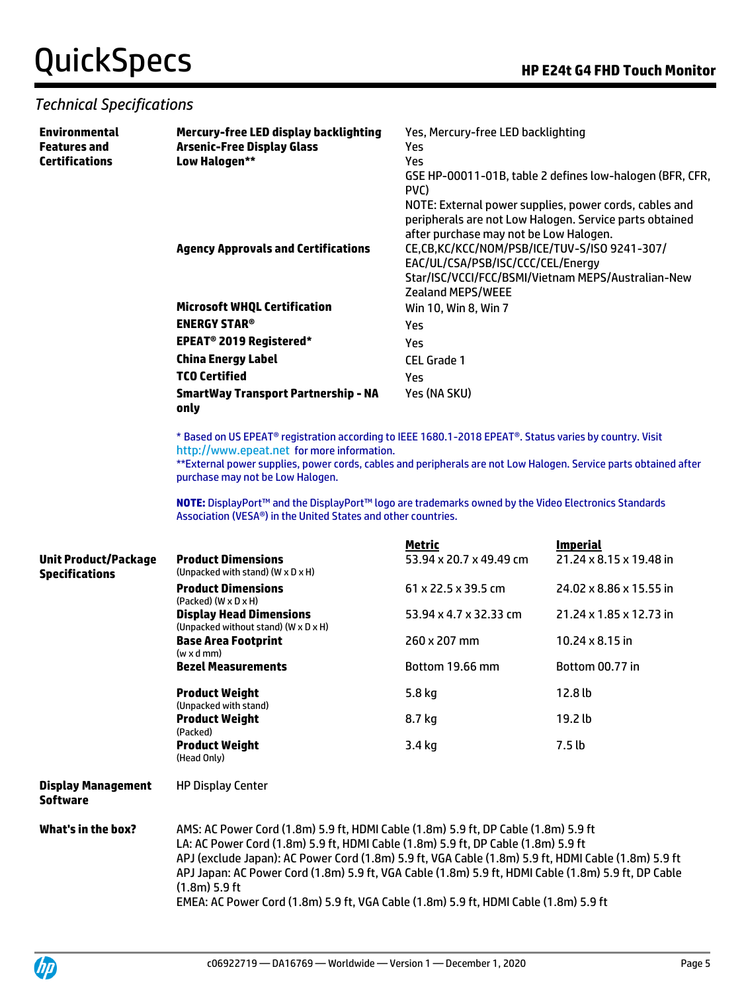#### *Technical Specifications*

| <b>Environmental</b><br><b>Features and</b>                                                                                                          | Mercury-free LED display backlighting<br><b>Arsenic-Free Display Glass</b>                                                                                                                                 | Yes, Mercury-free LED backlighting<br>Yes                                                                                  |                                                         |  |
|------------------------------------------------------------------------------------------------------------------------------------------------------|------------------------------------------------------------------------------------------------------------------------------------------------------------------------------------------------------------|----------------------------------------------------------------------------------------------------------------------------|---------------------------------------------------------|--|
| <b>Certifications</b>                                                                                                                                | Low Halogen**                                                                                                                                                                                              | Yes                                                                                                                        |                                                         |  |
|                                                                                                                                                      |                                                                                                                                                                                                            | GSE HP-00011-01B, table 2 defines low-halogen (BFR, CFR,<br>PVC)<br>NOTE: External power supplies, power cords, cables and |                                                         |  |
|                                                                                                                                                      |                                                                                                                                                                                                            |                                                                                                                            |                                                         |  |
|                                                                                                                                                      |                                                                                                                                                                                                            |                                                                                                                            | peripherals are not Low Halogen. Service parts obtained |  |
|                                                                                                                                                      |                                                                                                                                                                                                            | after purchase may not be Low Halogen.                                                                                     |                                                         |  |
|                                                                                                                                                      | <b>Agency Approvals and Certifications</b>                                                                                                                                                                 | CE,CB,KC/KCC/NOM/PSB/ICE/TUV-S/ISO 9241-307/                                                                               |                                                         |  |
|                                                                                                                                                      |                                                                                                                                                                                                            | EAC/UL/CSA/PSB/ISC/CCC/CEL/Energy                                                                                          |                                                         |  |
|                                                                                                                                                      |                                                                                                                                                                                                            | <b>Zealand MEPS/WEEE</b>                                                                                                   | Star/ISC/VCCI/FCC/BSMI/Vietnam MEPS/Australian-New      |  |
|                                                                                                                                                      | <b>Microsoft WHQL Certification</b>                                                                                                                                                                        | Win 10, Win 8, Win 7                                                                                                       |                                                         |  |
|                                                                                                                                                      | <b>ENERGY STAR®</b>                                                                                                                                                                                        | Yes                                                                                                                        |                                                         |  |
|                                                                                                                                                      | EPEAT <sup>®</sup> 2019 Registered*                                                                                                                                                                        | Yes                                                                                                                        |                                                         |  |
|                                                                                                                                                      | <b>China Energy Label</b>                                                                                                                                                                                  | <b>CEL Grade 1</b>                                                                                                         |                                                         |  |
|                                                                                                                                                      | <b>TCO Certified</b>                                                                                                                                                                                       | Yes                                                                                                                        |                                                         |  |
|                                                                                                                                                      | <b>SmartWay Transport Partnership - NA</b>                                                                                                                                                                 | Yes (NA SKU)                                                                                                               |                                                         |  |
|                                                                                                                                                      | only                                                                                                                                                                                                       |                                                                                                                            |                                                         |  |
|                                                                                                                                                      |                                                                                                                                                                                                            | * Based on US EPEAT® registration according to IEEE 1680.1-2018 EPEAT®. Status varies by country. Visit                    |                                                         |  |
|                                                                                                                                                      | http://www.epeat.net for more information.                                                                                                                                                                 |                                                                                                                            |                                                         |  |
| **External power supplies, power cords, cables and peripherals are not Low Halogen. Service parts obtained after<br>purchase may not be Low Halogen. |                                                                                                                                                                                                            |                                                                                                                            |                                                         |  |
|                                                                                                                                                      | NOTE: DisplayPort™ and the DisplayPort™ logo are trademarks owned by the Video Electronics Standards<br>Association (VESA®) in the United States and other countries.                                      |                                                                                                                            |                                                         |  |
|                                                                                                                                                      |                                                                                                                                                                                                            | <u>Metric</u>                                                                                                              | <b>Imperial</b>                                         |  |
| <b>Unit Product/Package</b><br><b>Specifications</b>                                                                                                 | <b>Product Dimensions</b><br>(Unpacked with stand) (W x D x H)                                                                                                                                             | 53.94 x 20.7 x 49.49 cm                                                                                                    | 21.24 x 8.15 x 19.48 in                                 |  |
|                                                                                                                                                      | <b>Product Dimensions</b>                                                                                                                                                                                  | 61 x 22.5 x 39.5 cm                                                                                                        | 24.02 x 8.86 x 15.55 in                                 |  |
|                                                                                                                                                      | $(Packed)$ $(W \times D \times H)$<br><b>Display Head Dimensions</b>                                                                                                                                       | 53.94 x 4.7 x 32.33 cm                                                                                                     | 21.24 x 1.85 x 12.73 in                                 |  |
|                                                                                                                                                      | (Unpacked without stand) (W x D x H)<br><b>Base Area Footprint</b><br>$(w \times d$ mm)                                                                                                                    | 260 x 207 mm                                                                                                               | 10.24 $\times$ 8.15 in                                  |  |
|                                                                                                                                                      | <b>Bezel Measurements</b>                                                                                                                                                                                  | Bottom 19.66 mm                                                                                                            | Bottom 00.77 in                                         |  |
|                                                                                                                                                      | <b>Product Weight</b><br>(Unpacked with stand)                                                                                                                                                             | 5.8 kg                                                                                                                     | 12.8 lb                                                 |  |
|                                                                                                                                                      | <b>Product Weight</b><br>(Packed)                                                                                                                                                                          | 8.7 kg                                                                                                                     | 19.2 lb                                                 |  |
|                                                                                                                                                      | <b>Product Weight</b>                                                                                                                                                                                      | 3.4 kg                                                                                                                     | 7.5 <sub>lb</sub>                                       |  |
|                                                                                                                                                      | (Head Only)                                                                                                                                                                                                |                                                                                                                            |                                                         |  |
| <b>Display Management</b><br><b>Software</b>                                                                                                         | <b>HP Display Center</b>                                                                                                                                                                                   |                                                                                                                            |                                                         |  |
| What's in the box?                                                                                                                                   | AMS: AC Power Cord (1.8m) 5.9 ft, HDMI Cable (1.8m) 5.9 ft, DP Cable (1.8m) 5.9 ft                                                                                                                         |                                                                                                                            |                                                         |  |
|                                                                                                                                                      | LA: AC Power Cord (1.8m) 5.9 ft, HDMI Cable (1.8m) 5.9 ft, DP Cable (1.8m) 5.9 ft                                                                                                                          |                                                                                                                            |                                                         |  |
|                                                                                                                                                      | APJ (exclude Japan): AC Power Cord (1.8m) 5.9 ft, VGA Cable (1.8m) 5.9 ft, HDMI Cable (1.8m) 5.9 ft<br>APJ Japan: AC Power Cord (1.8m) 5.9 ft, VGA Cable (1.8m) 5.9 ft, HDMI Cable (1.8m) 5.9 ft, DP Cable |                                                                                                                            |                                                         |  |
|                                                                                                                                                      | $(1.8m)$ 5.9 ft                                                                                                                                                                                            |                                                                                                                            |                                                         |  |

EMEA: AC Power Cord (1.8m) 5.9 ft, VGA Cable (1.8m) 5.9 ft, HDMI Cable (1.8m) 5.9 ft

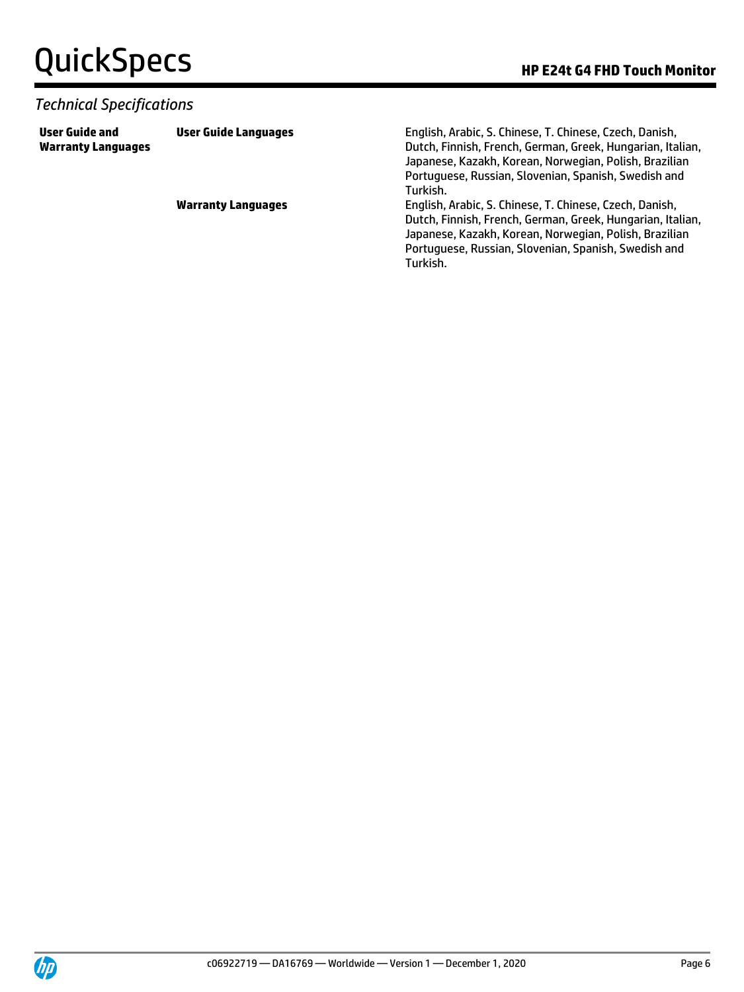#### *Technical Specifications*

**User Guide and Warranty Languages**

**User Guide Languages** English, Arabic, S. Chinese, T. Chinese, Czech, Danish, Dutch, Finnish, French, German, Greek, Hungarian, Italian, Japanese, Kazakh, Korean, Norwegian, Polish, Brazilian Portuguese, Russian, Slovenian, Spanish, Swedish and Turkish.

**Warranty Languages** English, Arabic, S. Chinese, T. Chinese, Czech, Danish, Dutch, Finnish, French, German, Greek, Hungarian, Italian, Japanese, Kazakh, Korean, Norwegian, Polish, Brazilian Portuguese, Russian, Slovenian, Spanish, Swedish and Turkish.

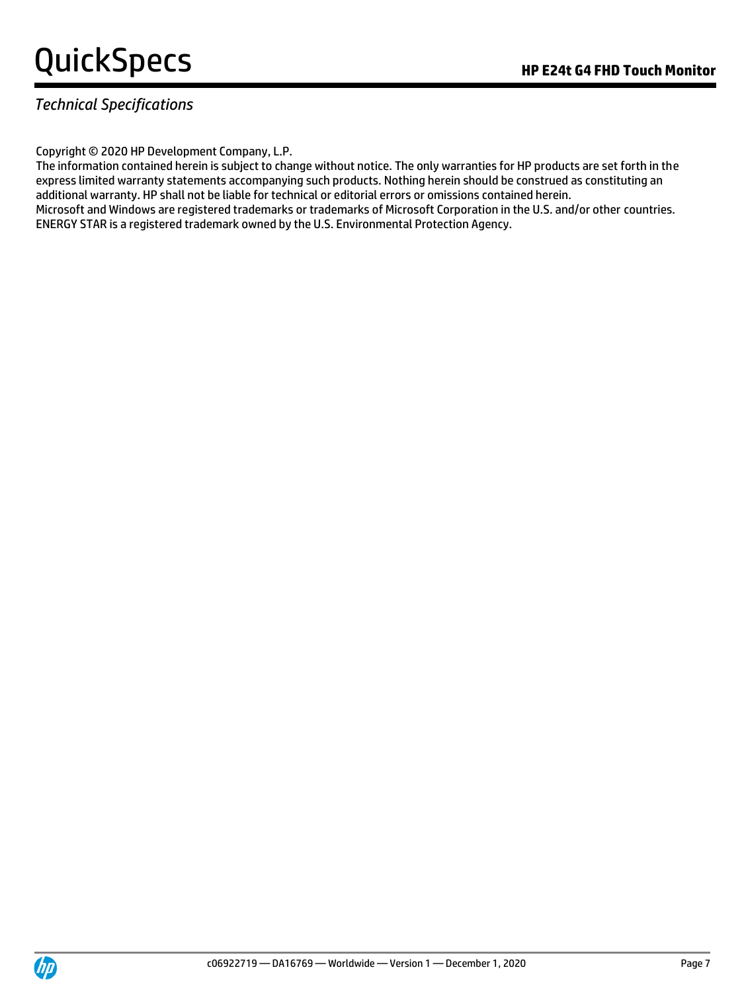### *Technical Specifications*

Copyright © 2020 HP Development Company, L.P.

The information contained herein is subject to change without notice. The only warranties for HP products are set forth in the express limited warranty statements accompanying such products. Nothing herein should be construed as constituting an additional warranty. HP shall not be liable for technical or editorial errors or omissions contained herein. Microsoft and Windows are registered trademarks or trademarks of Microsoft Corporation in the U.S. and/or other countries. ENERGY STAR is a registered trademark owned by the U.S. Environmental Protection Agency.